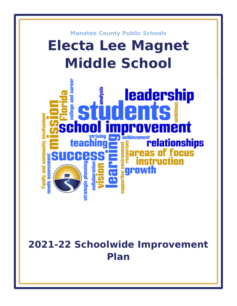

# **2021-22 Schoolwide Improvement Plan**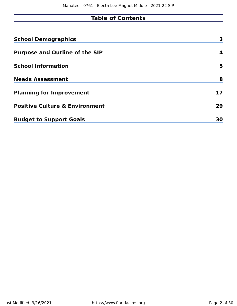# **Table of Contents**

| <b>School Demographics</b>                | 3  |
|-------------------------------------------|----|
| <b>Purpose and Outline of the SIP</b>     | 4  |
| <b>School Information</b>                 | 5  |
| <b>Needs Assessment</b>                   | 8  |
| <b>Planning for Improvement</b>           | 17 |
| <b>Positive Culture &amp; Environment</b> | 29 |
| <b>Budget to Support Goals</b>            | 30 |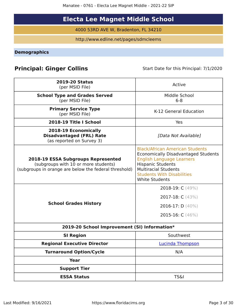Manatee - 0761 - Electa Lee Magnet Middle - 2021-22 SIP

# **Electa Lee Magnet Middle School**

4000 53RD AVE W, Bradenton, FL 34210

http://www.edline.net/pages/sdmcleems

<span id="page-2-0"></span>**Demographics**

# **Principal: Ginger Collins** Start Date for this Principal: 7/1/2020

| <b>2019-20 Status</b><br>(per MSID File)                                                                                            | Active                                                                                                                                                                                                                                            |
|-------------------------------------------------------------------------------------------------------------------------------------|---------------------------------------------------------------------------------------------------------------------------------------------------------------------------------------------------------------------------------------------------|
| <b>School Type and Grades Served</b><br>(per MSID File)                                                                             | Middle School<br>$6 - 8$                                                                                                                                                                                                                          |
| <b>Primary Service Type</b><br>(per MSID File)                                                                                      | K-12 General Education                                                                                                                                                                                                                            |
| 2018-19 Title I School                                                                                                              | Yes                                                                                                                                                                                                                                               |
| 2018-19 Economically<br><b>Disadvantaged (FRL) Rate</b><br>(as reported on Survey 3)                                                | [Data Not Available]                                                                                                                                                                                                                              |
| 2018-19 ESSA Subgroups Represented<br>(subgroups with 10 or more students)<br>(subgroups in orange are below the federal threshold) | <b>Black/African American Students</b><br><b>Economically Disadvantaged Students</b><br><b>English Language Learners</b><br><b>Hispanic Students</b><br><b>Multiracial Students</b><br><b>Students With Disabilities</b><br><b>White Students</b> |
| <b>School Grades History</b>                                                                                                        | 2018-19: C (49%)<br>2017-18: $C(43%)$<br>2016-17: $D(40\%)$<br>2015-16: $C(46%)$                                                                                                                                                                  |
| 2019-20 School Improvement (SI) Information*                                                                                        |                                                                                                                                                                                                                                                   |
| <b>SI Region</b>                                                                                                                    | Southwest                                                                                                                                                                                                                                         |
| <b>Regional Executive Director</b>                                                                                                  | <b>Lucinda Thompson</b>                                                                                                                                                                                                                           |
| <b>Turnaround Option/Cycle</b>                                                                                                      | N/A                                                                                                                                                                                                                                               |
| <b>Year</b>                                                                                                                         |                                                                                                                                                                                                                                                   |
| <b>Support Tier</b>                                                                                                                 |                                                                                                                                                                                                                                                   |
| <b>ESSA Status</b>                                                                                                                  | <b>TS&amp;I</b>                                                                                                                                                                                                                                   |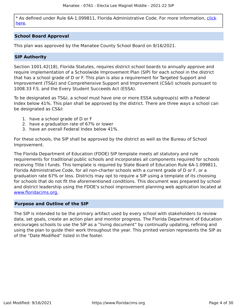\* As defined under Rule 6A-1.099811, Florida Administrative Code. For more information, [click](/downloads?category=da-forms) [here](/downloads?category=da-forms).

### **School Board Approval**

This plan was approved by the Manatee County School Board on 9/16/2021.

### **SIP Authority**

Section 1001.42(18), Florida Statutes, requires district school boards to annually approve and require implementation of a Schoolwide Improvement Plan (SIP) for each school in the district that has a school grade of D or F. This plan is also a requirement for Targeted Support and Improvement (TS&I) and Comprehensive Support and Improvement (CS&I) schools pursuant to 1008.33 F.S. and the Every Student Succeeds Act (ESSA).

To be designated as TS&I, a school must have one or more ESSA subgroup(s) with a Federal Index below 41%. This plan shall be approved by the district. There are three ways a school can be designated as CS&I:

- 1. have a school grade of D or F
- 2. have a graduation rate of 67% or lower
- 3. have an overall Federal Index below 41%.

For these schools, the SIP shall be approved by the district as well as the Bureau of School Improvement.

The Florida Department of Education (FDOE) SIP template meets all statutory and rule requirements for traditional public schools and incorporates all components required for schools receiving Title I funds. This template is required by State Board of Education Rule 6A-1.099811, Florida Administrative Code, for all non-charter schools with a current grade of D or F, or a graduation rate 67% or less. Districts may opt to require a SIP using a template of its choosing for schools that do not fit the aforementioned conditions. This document was prepared by school and district leadership using the FDOE's school improvement planning web application located at [www.floridacims.org.](https://www.floridacims.org)

#### <span id="page-3-0"></span>**Purpose and Outline of the SIP**

The SIP is intended to be the primary artifact used by every school with stakeholders to review data, set goals, create an action plan and monitor progress. The Florida Department of Education encourages schools to use the SIP as a "living document" by continually updating, refining and using the plan to guide their work throughout the year. This printed version represents the SIP as of the "Date Modified" listed in the footer.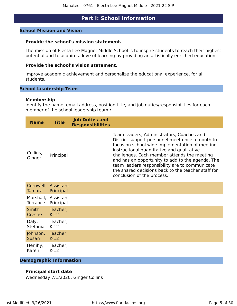### **Part I: School Information**

#### <span id="page-4-0"></span>**School Mission and Vision**

### **Provide the school's mission statement.**

The mission of Electa Lee Magnet Middle School is to inspire students to reach their highest potential and to acquire a love of learning by providing an artistically enriched education.

### **Provide the school's vision statement.**

Improve academic achievement and personalize the educational experience, for all students.

#### **School Leadership Team**

#### **Membership**

Identify the name, email address, position title, and job duties/responsibilities for each member of the school leadership team.**:**

| <b>Name</b>        | <b>Title</b> | <b>Job Duties and</b><br><b>Responsibilities</b> |                                                                                                                                                                                                                                                                                                                                                                                                                                       |
|--------------------|--------------|--------------------------------------------------|---------------------------------------------------------------------------------------------------------------------------------------------------------------------------------------------------------------------------------------------------------------------------------------------------------------------------------------------------------------------------------------------------------------------------------------|
| Collins,<br>Ginger | Principal    |                                                  | Team leaders, Administrators, Coaches and<br>District support personnel meet once a month to<br>focus on school wide implementation of meeting<br>instructional quantitative and qualitative<br>challenges. Each member attends the meeting<br>and has an opportunity to add to the agenda. The<br>team leaders responsibility are to communicate<br>the shared decisions back to the teacher staff for<br>conclusion of the process. |

| Tamara Principal       | Cornwell, Assistant |
|------------------------|---------------------|
| Terrance Principal     | Marshall, Assistant |
| Smith,                 | Teacher,            |
| Crestie                | $K-12$              |
| Daly,<br>Stefania K-12 | Teacher,            |
| Johnson,               | Teacher,            |
| Susan                  | $K-12$              |
| Herlihy,               | Teacher,            |
| Karen                  | $K-12$              |

#### **Demographic Information**

### **Principal start date**

Wednesday 7/1/2020, Ginger Collins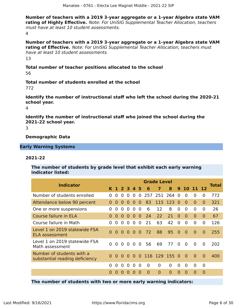**Number of teachers with a 2019 3-year aggregate or a 1-year Algebra state VAM rating of Highly Effective.** Note: For UniSIG Supplemental Teacher Allocation, teachers must have at least 10 student assessments. 4

**Number of teachers with a 2019 3-year aggregate or a 1-year Algebra state VAM rating of Effective.** Note: For UniSIG Supplemental Teacher Allocation, teachers must have at least 10 student assessments. 13

**Total number of teacher positions allocated to the school** 56

**Total number of students enrolled at the school**

772

**Identify the number of instructional staff who left the school during the 2020-21 school year.**

4

**Identify the number of instructional staff who joined the school during the 2021-22 school year.**

3

**Demographic Data**

**Early Warning Systems**

#### **2021-22**

**The number of students by grade level that exhibit each early warning indicator listed:**

| <b>Indicator</b>                                            | <b>Grade Level</b> |          |                |          |                |                |          |             |          |                |                |                |          |              |  |
|-------------------------------------------------------------|--------------------|----------|----------------|----------|----------------|----------------|----------|-------------|----------|----------------|----------------|----------------|----------|--------------|--|
|                                                             | K.                 |          | $1 \t2 \t3$    |          | $\mathbf{A}$   | 5              | 6        | 7           | 8        | 9              |                | 10 11 12       |          | <b>Total</b> |  |
| Number of students enrolled                                 | 0                  | 0        | $\Omega$       | $\Omega$ | $\Omega$       | $\overline{0}$ |          | 257 251 264 |          | $\Omega$       | $\Omega$       | $\Omega$       | 0        | 772          |  |
| Attendance below 90 percent                                 | 0                  | $\Omega$ | $\Omega$       | $\Omega$ | $\Omega$       | $\Omega$       | 83       |             | 115 123  | $\Omega$       | $\Omega$       | $\overline{0}$ | $\Omega$ | 321          |  |
| One or more suspensions                                     | 0                  | 0        | $\Omega$       | $\Omega$ | $\Omega$       | $\Omega$       | 6        | 12          | 8        | $\overline{0}$ | $\mathbf{0}$   | $\overline{0}$ | $\Omega$ | 26           |  |
| Course failure in ELA                                       | 0                  | 0        | $\Omega$       | $\Omega$ | $\Omega$       | $\Omega$       | 24       | 22          | 21       | $\Omega$       | $\Omega$       | $\Omega$       | $\Omega$ | 67           |  |
| Course failure in Math                                      | 0                  | 0        | $\Omega$       | $\Omega$ | $\Omega$       | $\Omega$       | 21       | 63          | 42       | $\Omega$       | $\mathbf{0}$   | $\Omega$       | 0        | 126          |  |
| Level 1 on 2019 statewide FSA<br><b>ELA assessment</b>      | $\Omega$           |          | 0 <sub>0</sub> | $\Omega$ | 0 <sub>0</sub> |                | 72       | 88          | 95       | $\Omega$       | $\overline{0}$ | $\Omega$       | $\Omega$ | 255          |  |
| Level 1 on 2019 statewide FSA<br>Math assessment            | 0                  | $\Omega$ | $\Omega$       | $\Omega$ | $\Omega$       | $\Omega$       | 56       | 69          | 77       | $\Omega$       | $\Omega$       | $\Omega$       | $\Omega$ | 202          |  |
| Number of students with a<br>substantial reading deficiency | 0                  | $\Omega$ | 0              | $\Omega$ | 0              | $\Omega$       |          | 116 129 155 |          | 0              | $\overline{0}$ | $\Omega$       | $\Omega$ | 400          |  |
|                                                             | <sup>0</sup>       | 0        | $\Omega$       | $\Omega$ | $\Omega$       | $\Omega$       | 0        | $\Omega$    | 0        | $\Omega$       | $\Omega$       | $\Omega$       | $\Omega$ |              |  |
|                                                             |                    | $\Omega$ | $\Omega$       | $\Omega$ | $\Omega$       | $\Omega$       | $\Omega$ | $\Omega$    | $\Omega$ | $\Omega$       | $\Omega$       | $\Omega$       | $\Omega$ |              |  |

**The number of students with two or more early warning indicators:**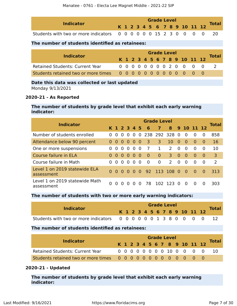| <b>Indicator</b>                                                |  |  |  | <b>Grade Level</b> |  |                              |  | <b>Total</b> |
|-----------------------------------------------------------------|--|--|--|--------------------|--|------------------------------|--|--------------|
|                                                                 |  |  |  |                    |  | K 1 2 3 4 5 6 7 8 9 10 11 12 |  |              |
| Students with two or more indicators 0 0 0 0 0 0 15 2 3 0 0 0 0 |  |  |  |                    |  |                              |  |              |

### **The number of students identified as retainees:**

| <b>Indicator</b>                       |  |  |  |  | <b>Grade Level</b> |  |                              |              |
|----------------------------------------|--|--|--|--|--------------------|--|------------------------------|--------------|
|                                        |  |  |  |  |                    |  | K 1 2 3 4 5 6 7 8 9 10 11 12 | <b>Total</b> |
| <b>Retained Students: Current Year</b> |  |  |  |  |                    |  | 0 0 0 0 0 0 0 0 2 0 0 0 0    |              |
|                                        |  |  |  |  |                    |  |                              |              |

### **Date this data was collected or last updated**

Monday 9/13/2021

### **2020-21 - As Reported**

### **The number of students by grade level that exhibit each early warning indicator:**

| <b>Indicator</b>                             | <b>Grade Level</b> |                |          |                |                   |          |                |                |                      |          |                |          |          |              |  |
|----------------------------------------------|--------------------|----------------|----------|----------------|-------------------|----------|----------------|----------------|----------------------|----------|----------------|----------|----------|--------------|--|
|                                              |                    | K 1 2 3 4 5    |          |                |                   |          | - 6            | $\mathbf{7}$   |                      |          | 8 9 10 11 12   |          |          | <b>Total</b> |  |
| Number of students enrolled                  | $\Omega$           | $\Omega$       | $\Omega$ | $\Omega$       | $\Omega$          |          |                | 0 238 292 328  |                      | $\Omega$ | $\Omega$       | $\Omega$ | $\Omega$ | 858          |  |
| Attendance below 90 percent                  | $\Omega$           | $\Omega$       | $\Omega$ | $\bullet$      | - 0               | - 0      | -3             | 3              | 10                   | $\Omega$ | $\Omega$       | $\Omega$ | $\Omega$ | 16           |  |
| One or more suspensions                      | 0                  | $\Omega$       | 0        | $\Omega$       | $\Omega$          | $\Omega$ | $\overline{7}$ | $\mathbf{1}$   | $\mathcal{P}$        | $\Omega$ | $\Omega$       | $\Omega$ | 0        | 10           |  |
| Course failure in ELA                        | $\Omega$           | $\Omega$       | $\Omega$ | 0 <sub>0</sub> |                   | $\Omega$ | $\Omega$       | $\overline{0}$ | 3.                   | $\Omega$ | $\overline{0}$ | $\Omega$ | $\Omega$ | 3            |  |
| Course failure in Math                       | $\Omega$           | $\Omega$       | $\Omega$ | $\Omega$       | $\Omega$          | $\Omega$ | $\Omega$       | $\overline{0}$ | $\mathcal{P}$        | $\Omega$ | $\Omega$       | $\Omega$ | $\Omega$ | 2            |  |
| Level 1 on 2019 statewide ELA<br>assessment  |                    | 0 <sub>0</sub> |          |                |                   |          |                |                | 0 0 0 0 92 113 108 0 |          | - 0            | $\Omega$ | 0        | 313          |  |
| Level 1 on 2019 statewide Math<br>assessment | $\Omega$           | $\Omega$       | 0        |                | $\mathbf{\Omega}$ | n        | 78.            | 102 123        |                      | $\Omega$ | $\Omega$       | $\Omega$ | $\Omega$ | 303          |  |

### **The number of students with two or more early warning indicators:**

| <b>Indicator</b>                                                 |  |  |  |  | <b>Grade Level</b> |  |                              | <b>Total</b> |
|------------------------------------------------------------------|--|--|--|--|--------------------|--|------------------------------|--------------|
|                                                                  |  |  |  |  |                    |  | K 1 2 3 4 5 6 7 8 9 10 11 12 |              |
| Students with two or more indicators 0 0 0 0 0 0 1 3 8 0 0 0 0 0 |  |  |  |  |                    |  |                              |              |

### **The number of students identified as retainees:**

|                                 | <b>Grade Level</b> |  |  |  |  |  |  |  |  |                              |  |                            |              |  |  |
|---------------------------------|--------------------|--|--|--|--|--|--|--|--|------------------------------|--|----------------------------|--------------|--|--|
| <b>Indicator</b>                |                    |  |  |  |  |  |  |  |  | K 1 2 3 4 5 6 7 8 9 10 11 12 |  |                            | <b>Total</b> |  |  |
| Retained Students: Current Year |                    |  |  |  |  |  |  |  |  |                              |  | 0 0 0 0 0 0 0 10 0 0 0 0 0 | -10          |  |  |
|                                 |                    |  |  |  |  |  |  |  |  |                              |  |                            |              |  |  |

### **2020-21 - Updated**

**The number of students by grade level that exhibit each early warning indicator:**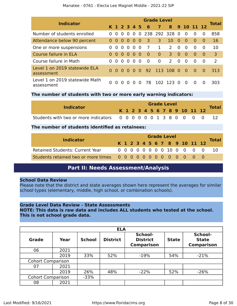| <b>Indicator</b>                             | <b>Grade Level</b> |                |             |          |          |          |                |                |                |          |          |            |          |                |  |
|----------------------------------------------|--------------------|----------------|-------------|----------|----------|----------|----------------|----------------|----------------|----------|----------|------------|----------|----------------|--|
|                                              |                    |                | K 1 2 3 4 5 |          |          |          | 6              | $\overline{7}$ | 8 <sub>1</sub> |          |          | 9 10 11 12 |          | <b>Total</b>   |  |
| Number of students enrolled                  | $\Omega$           | $\Omega$       | $\Omega$    | $\Omega$ | $\Omega$ |          |                | 0 238 292 328  |                | $\Omega$ | $\Omega$ | $\Omega$   | $\Omega$ | 858            |  |
| Attendance below 90 percent                  | $\Omega$           | $\Omega$       | $\bullet$   | - 0      | $\Omega$ | - 0      | 3              | 3              | 10             | $\Omega$ | $\Omega$ | $\Omega$   | $\Omega$ | 16             |  |
| One or more suspensions                      | $\Omega$           | $\Omega$       | 0           | $\Omega$ | $\Omega$ | 0        | -7             | $\mathbf{1}$   | $\mathcal{P}$  | $\Omega$ | $\Omega$ | $\Omega$   | $\Omega$ | 10             |  |
| Course failure in ELA                        | $\Omega$           | $\Omega$       | $\Omega$    | 0        | $\Omega$ | 0        | $\overline{0}$ | $\overline{0}$ | $\overline{3}$ | $\Omega$ | $\Omega$ | $\Omega$   | $\Omega$ | $\overline{3}$ |  |
| Course failure in Math                       | $\Omega$           | $\Omega$       | 0           | $\Omega$ | 0        | $\Omega$ | $\overline{0}$ | $\Omega$       | $\mathcal{P}$  | $\Omega$ | $\Omega$ | $\Omega$   | $\Omega$ | 2              |  |
| Level 1 on 2019 statewide ELA<br>assessment  |                    | 0 <sub>0</sub> | 0           | $\Omega$ |          |          |                | 0 92 113 108 0 |                |          | $\sim 0$ | $\Omega$   | 0        | 313            |  |
| Level 1 on 2019 statewide Math<br>assessment |                    | $\Omega$       | $\Omega$    | $\Omega$ | $\Omega$ | $\Omega$ | 78             | 102 123        |                | - 0      | $\Omega$ | $\Omega$   | n        | 303            |  |

### **The number of students with two or more early warning indicators:**

| <b>Indicator</b>                                                  |  |  |  |  | <b>Grade Level</b> |  |                              |              |
|-------------------------------------------------------------------|--|--|--|--|--------------------|--|------------------------------|--------------|
|                                                                   |  |  |  |  |                    |  | K 1 2 3 4 5 6 7 8 9 10 11 12 | <b>Total</b> |
| Students with two or more indicators 0 0 0 0 0 0 1 3 8 0 0 0 0 12 |  |  |  |  |                    |  |                              |              |

### **The number of students identified as retainees:**

|                                        | <b>Grade Level</b> |  |  |  |  |  |  |  |  |  |                              |  |                              |              |
|----------------------------------------|--------------------|--|--|--|--|--|--|--|--|--|------------------------------|--|------------------------------|--------------|
| <b>Indicator</b>                       |                    |  |  |  |  |  |  |  |  |  | K 1 2 3 4 5 6 7 8 9 10 11 12 |  |                              | <b>Total</b> |
| <b>Retained Students: Current Year</b> |                    |  |  |  |  |  |  |  |  |  |                              |  | 0 0 0 0 0 0 0 0 10 0 0 0 0 0 | -10          |
|                                        |                    |  |  |  |  |  |  |  |  |  |                              |  |                              |              |

### **Part II: Needs Assessment/Analysis**

### <span id="page-7-0"></span>**School Data Review**

Please note that the district and state averages shown here represent the averages for similar school types (elementary, middle, high school, or combination schools).

### **Grade Level Data Review - State Assessments**

**NOTE: This data is raw data and includes ALL students who tested at the school. This is not school grade data.**

|                          | <b>ELA</b> |               |                 |                                                 |              |                                              |  |  |  |  |  |
|--------------------------|------------|---------------|-----------------|-------------------------------------------------|--------------|----------------------------------------------|--|--|--|--|--|
| <b>Grade</b>             | Year       | <b>School</b> | <b>District</b> | School-<br><b>District</b><br><b>Comparison</b> | <b>State</b> | School-<br><b>State</b><br><b>Comparison</b> |  |  |  |  |  |
| 06                       | 2021       |               |                 |                                                 |              |                                              |  |  |  |  |  |
|                          | 2019       | 33%           | 52%             | $-19%$                                          | 54%          | $-21%$                                       |  |  |  |  |  |
| <b>Cohort Comparison</b> |            |               |                 |                                                 |              |                                              |  |  |  |  |  |
| 07                       | 2021       |               |                 |                                                 |              |                                              |  |  |  |  |  |
|                          | 2019       | 26%           | 48%             | $-22%$                                          | 52%          | $-26%$                                       |  |  |  |  |  |
| <b>Cohort Comparison</b> |            | $-33%$        |                 |                                                 |              |                                              |  |  |  |  |  |
| 08                       | 2021       |               |                 |                                                 |              |                                              |  |  |  |  |  |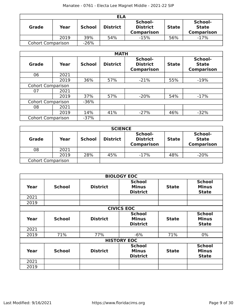|                          | <b>ELA</b> |               |                 |                                                 |              |                                              |  |  |  |  |
|--------------------------|------------|---------------|-----------------|-------------------------------------------------|--------------|----------------------------------------------|--|--|--|--|
| Grade                    | Year       | <b>School</b> | <b>District</b> | School-<br><b>District</b><br><b>Comparison</b> | <b>State</b> | School-<br><b>State</b><br><b>Comparison</b> |  |  |  |  |
|                          | 2019       | 39%           | 54%             | $-15%$                                          | 56%          | $-17%$                                       |  |  |  |  |
| <b>Cohort Comparison</b> |            | $-26%$        |                 |                                                 |              |                                              |  |  |  |  |

|                          |      |               | <b>MATH</b>     |                                                 |              |                                              |
|--------------------------|------|---------------|-----------------|-------------------------------------------------|--------------|----------------------------------------------|
| <b>Grade</b>             | Year | <b>School</b> | <b>District</b> | School-<br><b>District</b><br><b>Comparison</b> | <b>State</b> | School-<br><b>State</b><br><b>Comparison</b> |
| 06                       | 2021 |               |                 |                                                 |              |                                              |
|                          | 2019 | 36%           | 57%             | $-21%$                                          | 55%          | $-19%$                                       |
| <b>Cohort Comparison</b> |      |               |                 |                                                 |              |                                              |
| 07                       | 2021 |               |                 |                                                 |              |                                              |
|                          | 2019 | 37%           | 57%             | $-20%$                                          | 54%          | $-17%$                                       |
| <b>Cohort Comparison</b> |      | $-36%$        |                 |                                                 |              |                                              |
| 08                       | 2021 |               |                 |                                                 |              |                                              |
|                          | 2019 | 14%           | 41%             | $-27%$                                          | 46%          | $-32%$                                       |
| <b>Cohort Comparison</b> |      | $-37%$        |                 |                                                 |              |                                              |

| <b>SCIENCE</b>           |      |               |                 |                                                 |              |                                              |  |  |  |
|--------------------------|------|---------------|-----------------|-------------------------------------------------|--------------|----------------------------------------------|--|--|--|
| <b>Grade</b>             | Year | <b>School</b> | <b>District</b> | School-<br><b>District</b><br><b>Comparison</b> | <b>State</b> | School-<br><b>State</b><br><b>Comparison</b> |  |  |  |
| 08                       | 2021 |               |                 |                                                 |              |                                              |  |  |  |
|                          | 2019 | 28%           | 45%             | $-17%$                                          | 48%          | $-20%$                                       |  |  |  |
| <b>Cohort Comparison</b> |      |               |                 |                                                 |              |                                              |  |  |  |

|      |                   |                 | <b>BIOLOGY EOC</b>                                               |              |                                               |  |  |  |  |  |
|------|-------------------|-----------------|------------------------------------------------------------------|--------------|-----------------------------------------------|--|--|--|--|--|
| Year | <b>School</b>     | <b>District</b> | <b>School</b><br><b>Minus</b><br><b>State</b><br><b>District</b> |              | <b>School</b><br><b>Minus</b><br><b>State</b> |  |  |  |  |  |
| 2021 |                   |                 |                                                                  |              |                                               |  |  |  |  |  |
| 2019 |                   |                 |                                                                  |              |                                               |  |  |  |  |  |
|      | <b>CIVICS EOC</b> |                 |                                                                  |              |                                               |  |  |  |  |  |
| Year | <b>School</b>     | <b>District</b> | <b>School</b><br><b>Minus</b><br><b>District</b>                 | <b>State</b> | <b>School</b><br><b>Minus</b><br><b>State</b> |  |  |  |  |  |
| 2021 |                   |                 |                                                                  |              |                                               |  |  |  |  |  |
| 2019 | 71%               | 77%             | $-6%$                                                            | 71%          | $0\%$                                         |  |  |  |  |  |
|      |                   |                 | <b>HISTORY EOC</b>                                               |              |                                               |  |  |  |  |  |
| Year | <b>School</b>     | <b>District</b> | <b>School</b><br><b>Minus</b><br><b>District</b>                 | <b>State</b> | <b>School</b><br><b>Minus</b><br><b>State</b> |  |  |  |  |  |
| 2021 |                   |                 |                                                                  |              |                                               |  |  |  |  |  |
| 2019 |                   |                 |                                                                  |              |                                               |  |  |  |  |  |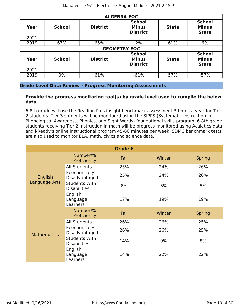|      | <b>ALGEBRA EOC</b> |                 |                                                  |              |                                               |  |  |  |  |  |  |  |
|------|--------------------|-----------------|--------------------------------------------------|--------------|-----------------------------------------------|--|--|--|--|--|--|--|
| Year | <b>School</b>      | <b>District</b> | <b>School</b><br><b>Minus</b><br><b>District</b> | <b>State</b> | <b>School</b><br><b>Minus</b><br><b>State</b> |  |  |  |  |  |  |  |
| 2021 |                    |                 |                                                  |              |                                               |  |  |  |  |  |  |  |
| 2019 | 67%                | 65%             | 2%                                               | 61%          | 6%                                            |  |  |  |  |  |  |  |
|      |                    |                 | <b>GEOMETRY EOC</b>                              |              |                                               |  |  |  |  |  |  |  |
| Year | <b>School</b>      | <b>District</b> | <b>School</b><br><b>Minus</b><br><b>District</b> | <b>State</b> | <b>School</b><br><b>Minus</b><br><b>State</b> |  |  |  |  |  |  |  |
| 2021 |                    |                 |                                                  |              |                                               |  |  |  |  |  |  |  |
| 2019 | 0%                 | 61%             | $-61%$                                           | 57%          | $-57%$                                        |  |  |  |  |  |  |  |

### **Grade Level Data Review - Progress Monitoring Assessments**

### **Provide the progress monitoring tool(s) by grade level used to compile the below data.**

6-8th grade will use the Reading Plus insight benchmark assessment 3 times a year for Tier 2 students. Tier 3 students will be monitored using the SIPPS (Systematic Instruction in Phonological Awareness, Phonics, and Sight Words) foundational skills program. 6-8th grade students receiving Tier 2 instruction in math will be progress monitored using Acaletics data and i-Ready's online instructional program 45-60 minutes per week. SDMC benchmark tests are also used to monitor ELA, math, civics and science data.

|                          |                                             | Grade 6 |        |               |
|--------------------------|---------------------------------------------|---------|--------|---------------|
|                          | Number/%<br>Proficiency                     | Fall    | Winter | <b>Spring</b> |
| English<br>Language Arts | <b>All Students</b>                         | 25%     | 24%    | 26%           |
|                          | Economically<br>Disadvantaged               | 25%     | 24%    | 26%           |
|                          | <b>Students With</b><br><b>Disabilities</b> | 8%      | 3%     | 5%            |
|                          | English<br>Language<br>Learners             | 17%     | 19%    | 19%           |
|                          | Number/%<br>Proficiency                     | Fall    | Winter | <b>Spring</b> |
|                          | <b>All Students</b>                         | 26%     | 26%    | 25%           |
| <b>Mathematics</b>       | Economically<br>Disadvantaged               | 26%     | 26%    | 25%           |
|                          | <b>Students With</b><br><b>Disabilities</b> | 14%     | 9%     | 8%            |
|                          | English<br>Language<br>Learners             | 14%     | 22%    | 22%           |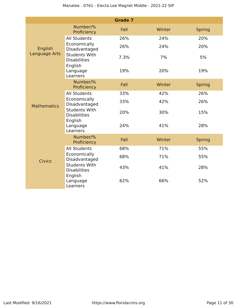|                    |                                             | <b>Grade 7</b> |        |               |
|--------------------|---------------------------------------------|----------------|--------|---------------|
|                    | Number/%<br>Proficiency                     | Fall           | Winter | <b>Spring</b> |
|                    | <b>All Students</b>                         | 26%            | 24%    | 20%           |
| English            | Economically<br>Disadvantaged               | 26%            | 24%    | 20%           |
| Language Arts      | <b>Students With</b><br><b>Disabilities</b> | 7.3%           | 7%     | 5%            |
|                    | English<br>Language<br>Learners             | 19%            | 20%    | 19%           |
|                    | Number/%<br>Proficiency                     | Fall           | Winter | <b>Spring</b> |
|                    | <b>All Students</b>                         | 33%            | 42%    | 26%           |
| <b>Mathematics</b> | Economically<br>Disadvantaged               | 33%            | 42%    | 26%           |
|                    | <b>Students With</b><br><b>Disabilities</b> | 20%            | 30%    | 15%           |
|                    | English<br>Language<br>Learners             | 24%            | 41%    | 28%           |
|                    | Number/%<br>Proficiency                     | Fall           | Winter | <b>Spring</b> |
|                    | <b>All Students</b>                         | 68%            | 71%    | 55%           |
| <b>Civics</b>      | Economically<br>Disadvantaged               | 68%            | 71%    | 55%           |
|                    | <b>Students With</b><br><b>Disabilities</b> | 43%            | 41%    | 28%           |
|                    | English<br>Language<br>Learners             | 62%            | 66%    | 52%           |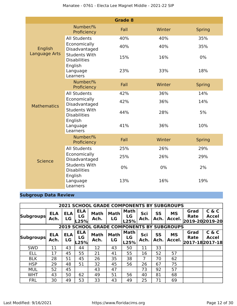|                    |                                             | <b>Grade 8</b> |        |               |
|--------------------|---------------------------------------------|----------------|--------|---------------|
|                    | Number/%<br>Proficiency                     | Fall           | Winter | <b>Spring</b> |
|                    | <b>All Students</b>                         | 40%            | 40%    | 35%           |
| English            | Economically<br>Disadvantaged               | 40%            | 40%    | 35%           |
| Language Arts      | <b>Students With</b><br><b>Disabilities</b> | 15%            | 16%    | $0\%$         |
|                    | English<br>Language<br>Learners             | 23%            | 33%    | 18%           |
|                    | Number/%<br>Proficiency                     | Fall           | Winter | <b>Spring</b> |
|                    | <b>All Students</b>                         | 42%            | 36%    | 14%           |
| <b>Mathematics</b> | Economically<br>Disadvantaged               | 42%            | 36%    | 14%           |
|                    | <b>Students With</b><br><b>Disabilities</b> | 44%            | 28%    | 5%            |
|                    | English<br>Language<br>Learners             | 41%            | 36%    | 10%           |
|                    | Number/%<br>Proficiency                     | Fall           | Winter | <b>Spring</b> |
|                    | <b>All Students</b>                         | 25%            | 26%    | 29%           |
| <b>Science</b>     | Economically<br>Disadvantaged               | 25%            | 26%    | 29%           |
|                    | <b>Students With</b><br><b>Disabilities</b> | 0%             | 0%     | 2%            |
|                    | English<br>Language<br>Learners             | 13%            | 16%    | 19%           |

### **Subgroup Data Review**

|                                                  | <b>2021 SCHOOL GRADE COMPONENTS BY SUBGROUPS</b> |                  |                          |                     |                   |                           |             |                   |                     |                                       |                       |  |
|--------------------------------------------------|--------------------------------------------------|------------------|--------------------------|---------------------|-------------------|---------------------------|-------------|-------------------|---------------------|---------------------------------------|-----------------------|--|
| <b>Subgroups</b>                                 | <b>ELA</b><br>Ach.                               | <b>ELA</b><br>LG | <b>ELA</b><br>LG<br>.25% | <b>Math</b><br>Ach. | <b>Math</b><br>LG | <b>Math</b><br>LG<br>L25% | Sci<br>Ach. | <b>SS</b><br>Ach. | <b>MS</b><br>Accel. | Grad<br>Rate<br>2019-20 2019-20       | C & C<br>Accel        |  |
| <b>2019 SCHOOL GRADE COMPONENTS BY SUBGROUPS</b> |                                                  |                  |                          |                     |                   |                           |             |                   |                     |                                       |                       |  |
| <b>Subgroups</b>                                 | <b>ELA</b><br>Ach.                               | <b>ELA</b><br>LG | <b>ELA</b><br>LG<br>L25% | <b>Math</b><br>Ach. | <b>Math</b><br>LG | Math<br>LG<br>L25%        | Sci<br>Ach. | SS<br>Ach.        | <b>MS</b><br>Accel. | Grad<br><b>Rate</b><br>2017-182017-18 | C & C<br><b>Accel</b> |  |
| <b>SWD</b>                                       | 11                                               | 43               | 44                       | 12                  | 43                | 50                        | 11          | 33                |                     |                                       |                       |  |
| <b>ELL</b>                                       | 17                                               | 45               | 55                       | 21                  | 41                | 55                        | 16          | 52                | 57                  |                                       |                       |  |
| <b>BLK</b>                                       | 28                                               | 51               | 45                       | 26                  | 35                | 38                        | 7           | 70                | 62                  |                                       |                       |  |
| <b>HSP</b>                                       | 29                                               | 48               | 51                       | 32                  | 45                | 56                        | 26          | 67                | 75                  |                                       |                       |  |
| <b>MUL</b>                                       | 52                                               | 45               |                          | 43                  | 47                |                           | 73          | 92                | 57                  |                                       |                       |  |
| <b>WHT</b>                                       | 43                                               | 50               | 62                       | 49                  | 51                | 56                        | 40          | 81                | 68                  |                                       |                       |  |
| <b>FRL</b>                                       | 30                                               | 49               | 53                       | 33                  | 43                | 49                        | 25          | 71                | 69                  |                                       |                       |  |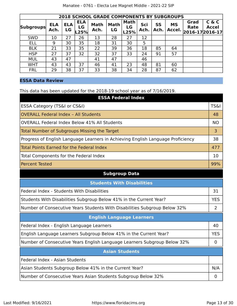|                  | <b>2018 SCHOOL GRADE COMPONENTS BY SUBGROUPS</b> |                  |                          |                     |                   |                           |             |                   |                     |                                        |                       |  |
|------------------|--------------------------------------------------|------------------|--------------------------|---------------------|-------------------|---------------------------|-------------|-------------------|---------------------|----------------------------------------|-----------------------|--|
| <b>Subgroups</b> | <b>ELA</b><br>Ach.                               | <b>ELA</b><br>LG | <b>ELA</b><br>LG<br>L25% | <b>Math</b><br>Ach. | <b>Math</b><br>LG | <b>Math</b><br>LG<br>L25% | Sci<br>Ach. | <b>SS</b><br>Ach. | <b>MS</b><br>Accel. | Grad<br><b>Rate</b><br>2016-17 2016-17 | C & C<br><b>Accel</b> |  |
| <b>SWD</b>       | 10                                               | 27               | 26                       | 13                  | 28                | 27                        | 12          |                   |                     |                                        |                       |  |
| <b>ELL</b>       | 9                                                | 30               | 35                       | 18                  | 31                | 30                        | 5           |                   |                     |                                        |                       |  |
| <b>BLK</b>       | 21                                               | 33               | 35                       | 22                  | 39                | 36                        | 18          | 85                | 64                  |                                        |                       |  |
| <b>HSP</b>       | 27                                               | 37               | 32                       | 32                  | 37                | 33                        | 24          | 91                | 57                  |                                        |                       |  |
| <b>MUL</b>       | 43                                               | 47               |                          | 41                  | 47                |                           | 46          |                   |                     |                                        |                       |  |
| <b>WHT</b>       | 43                                               | 43               | 37                       | 46                  | 41                | 23                        | 48          | 81                | 60                  |                                        |                       |  |
| <b>FRL</b>       | 29                                               | 38               | 37                       | 33                  | 38                | 34                        | 28          | 87                | 62                  |                                        |                       |  |

### **ESSA Data Review**

### This data has been updated for the 2018-19 school year as of 7/16/2019.

| <b>ESSA Federal Index</b>                                                       |                 |
|---------------------------------------------------------------------------------|-----------------|
| ESSA Category (TS&I or CS&I)                                                    | <b>TS&amp;I</b> |
| <b>OVERALL Federal Index - All Students</b>                                     | 48              |
| <b>OVERALL Federal Index Below 41% All Students</b>                             | <b>NO</b>       |
| Total Number of Subgroups Missing the Target                                    | 3               |
| Progress of English Language Learners in Achieving English Language Proficiency | 38              |
| Total Points Earned for the Federal Index                                       | 477             |
| Total Components for the Federal Index                                          | 10              |
| <b>Percent Tested</b>                                                           | 99%             |

### **Subgroup Data**

| <b>Students With Disabilities</b>                                         |            |  |  |
|---------------------------------------------------------------------------|------------|--|--|
| Federal Index - Students With Disabilities                                | 31         |  |  |
| Students With Disabilities Subgroup Below 41% in the Current Year?        | <b>YES</b> |  |  |
| Number of Consecutive Years Students With Disabilities Subgroup Below 32% | 2          |  |  |
| <b>English Language Learners</b>                                          |            |  |  |
| Federal Index - English Language Learners                                 | 40         |  |  |
| English Language Learners Subgroup Below 41% in the Current Year?         | <b>YES</b> |  |  |
| Number of Consecutive Years English Language Learners Subgroup Below 32%  | 0          |  |  |
| <b>Asian Students</b>                                                     |            |  |  |
| Federal Index - Asian Students                                            |            |  |  |
| Asian Students Subgroup Below 41% in the Current Year?                    |            |  |  |
| Number of Consecutive Years Asian Students Subgroup Below 32%             |            |  |  |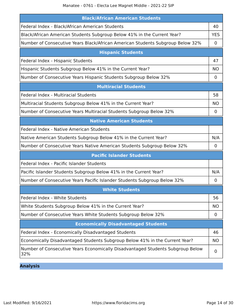| <b>Black/African American Students</b>                                                |                |  |  |
|---------------------------------------------------------------------------------------|----------------|--|--|
| Federal Index - Black/African American Students                                       | 40             |  |  |
| Black/African American Students Subgroup Below 41% in the Current Year?               | <b>YES</b>     |  |  |
| Number of Consecutive Years Black/African American Students Subgroup Below 32%        | 0              |  |  |
| <b>Hispanic Students</b>                                                              |                |  |  |
| Federal Index - Hispanic Students                                                     | 47             |  |  |
| Hispanic Students Subgroup Below 41% in the Current Year?                             | <b>NO</b>      |  |  |
| Number of Consecutive Years Hispanic Students Subgroup Below 32%                      | 0              |  |  |
| <b>Multiracial Students</b>                                                           |                |  |  |
| Federal Index - Multiracial Students                                                  | 58             |  |  |
| Multiracial Students Subgroup Below 41% in the Current Year?                          | <b>NO</b>      |  |  |
| Number of Consecutive Years Multiracial Students Subgroup Below 32%                   | 0              |  |  |
| <b>Native American Students</b>                                                       |                |  |  |
| Federal Index - Native American Students                                              |                |  |  |
| Native American Students Subgroup Below 41% in the Current Year?                      | N/A            |  |  |
| Number of Consecutive Years Native American Students Subgroup Below 32%               | $\mathbf 0$    |  |  |
| <b>Pacific Islander Students</b>                                                      |                |  |  |
| Federal Index - Pacific Islander Students                                             |                |  |  |
| Pacific Islander Students Subgroup Below 41% in the Current Year?                     | N/A            |  |  |
| Number of Consecutive Years Pacific Islander Students Subgroup Below 32%              | 0              |  |  |
| <b>White Students</b>                                                                 |                |  |  |
| Federal Index - White Students                                                        | 56             |  |  |
| White Students Subgroup Below 41% in the Current Year?                                | <b>NO</b>      |  |  |
| Number of Consecutive Years White Students Subgroup Below 32%                         | 0              |  |  |
| <b>Economically Disadvantaged Students</b>                                            |                |  |  |
| Federal Index - Economically Disadvantaged Students                                   | 46             |  |  |
| Economically Disadvantaged Students Subgroup Below 41% in the Current Year?           | <b>NO</b>      |  |  |
| Number of Consecutive Years Economically Disadvantaged Students Subgroup Below<br>32% | $\overline{0}$ |  |  |

**Analysis**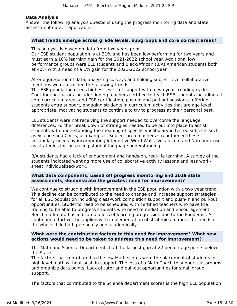### **Data Analysis**

Answer the following analysis questions using the progress monitoring data and state assessment data, if applicable.

### **What trends emerge across grade levels, subgroups and core content areas?**

This analysis is based on data from two years prior.

Our ESE student population is at 31% and has been low performing for two years and must earn a 10% learning gain for the 2021-2022 school year. Additional low performance groups were ELL students and Black/African (B/A) American students both at 40% with a need of a 1% gain for the 2021-2022 school year.

After aggregation of data, analyzing surveys and holding subject level collaborative meetings we determined the following trends:

The ESE population needs highest levels of support with a two year trending cycle. Contributing factors include; finding teachers certified to teach ESE students including all core curriculum areas and ESE certification, push-in and pull-out sessions - offering students extra support, engaging students in curriculum activities that are age level appropriate, motivating students to continue to try to progress at their personal best.

ELL students were not receiving the support needed to overcome the language differences. Further break down of strategies needed to be put into place to assist students with understanding the meaning of specific vocabulary in tested subjects such as Science and Civics, as examples. Subject area teachers strengthened these vocabulary needs by incorporating Interactive Word-Walls, Vocab.com and Notebook use as strategies for increasing student language understanding.

B/A students had a lack of engagement and hands-on, real-life learning. A survey of the students indicated wanting more use of collaborative activity lessons and less worksheet individualized-work.

### **What data components, based off progress monitoring and 2019 state assessments, demonstrate the greatest need for improvement?**

We continue to struggle with improvement in the ESE population with a two year trend. This decline can be contributed to the need to change and increase support strategies for all ESE population including class-work completion support and push-in and pull-out opportunities. Students need to be scheduled with certified teachers who have the training to be able to progress students who need remediation and encouragement. Benchmark data has indicated a loss of learning progression due to the Pandemic. A continued effort will be applied with implementation of strategies to meet the needs of the whole child both personally and academically.

### **What were the contributing factors to this need for improvement? What new actions would need to be taken to address this need for improvement?**

The Math and Science Departments had the largest gap at 22 percentage points below the State.

The factors that contributed to the low Math scores were the placement of students in high level math without push-in support. The loss of a Math Coach to support classrooms and organize data points. Lack of tutor and pull-out opportunities for small group support.

The factors that contributed to the Science department scores is the high ELL population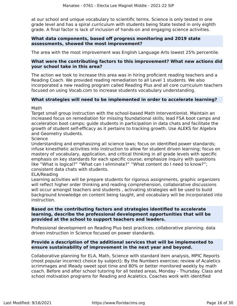at our school and unique vocabulary to scientific terms. Science is only tested in one grade level and has a spiral curriculum with students being State tested in only eighth grade. A final factor is lack of inclusion of hands-on and engaging science activities.

### **What data components, based off progress monitoring and 2019 state assessments, showed the most improvement?**

The area with the most improvement was English Language Arts lowest 25% percentile.

### **What were the contributing factors to this improvement? What new actions did your school take in this area?**

The action we took to increase this area was in hiring proficient reading teachers and a Reading Coach. We provided reading remediation to all Level 1 students. We also incorporated a new reading program called Reading Plus and all core curriculum teachers focused on using Vocab.com to increase students vocabulary understanding.

### **What strategies will need to be implemented in order to accelerate learning?**

Math

Target small group instruction with the school-based Math Interventionist. Maintain an increased focus on remediation for missing foundational skills; lead FSA boot camps and acceleration boot camps; guide students in participation in data chats and facilitate the growth of student self-efficacy as it pertains to tracking growth. Use ALEKS for Algebra and Geometry students.

Science

Understanding and emphasizing all science laws; focus on identified power standards; infuse kinesthetic activities into instruction to allow for student driven learning; focus on mastery of vocabulary, application, and critical thinking in all grade levels with specific emphasis on key standards for each specific course; emphasize inquiry with questions like "What is logical?" "What can I eliminate?" "What content do I need to know?"; consistent data chats with students.

### ELA/Reading

Learning activities will be prepare students for rigorous assignments, graphic organizers will reflect higher order thinking and reading comprehension, collaborative discussions will occur amongst teachers and students , activating strategies will be used to build background knowledge on content being taught, and vocabulary will be incorporated into instruction.

### **Based on the contributing factors and strategies identified to accelerate learning, describe the professional development opportunities that will be provided at the school to support teachers and leaders.**

Professional development on Reading Plus best practices; collaborative planning; data driven instruction in Science focused on power standards.

### **Provide a description of the additional services that will be implemented to ensure sustainability of improvement in the next year and beyond.**

Collaborative planning for ELA, Math, Science with standard item analysis, MPIC Reports (most popular incorrect choice by subject); By the Numbers exercise; review of Acaletics scrimmages and iReady sweet spot time and 80% or better monitored weekly by math coach. Before and after school tutoring for all tested areas, Monday - Thursday. Class and school motivation programs for Reading and Acaletics. Coaches work with identified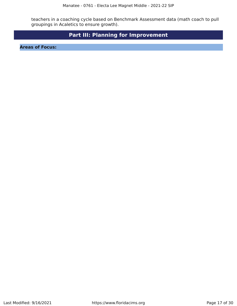teachers in a coaching cycle based on Benchmark Assessment data (math coach to pull groupings in Acaletics to ensure growth).

## **Part III: Planning for Improvement**

<span id="page-16-0"></span>**Areas of Focus:**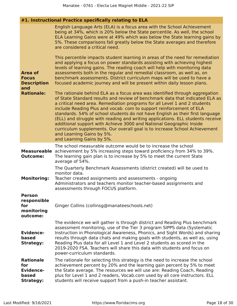| #1. Instructional Practice specifically relating to ELA                          |                                                                                                                                                                                                                                                                                                                                                                                                                                                                                                                                                                                                                    |  |  |
|----------------------------------------------------------------------------------|--------------------------------------------------------------------------------------------------------------------------------------------------------------------------------------------------------------------------------------------------------------------------------------------------------------------------------------------------------------------------------------------------------------------------------------------------------------------------------------------------------------------------------------------------------------------------------------------------------------------|--|--|
|                                                                                  | English Language Arts (ELA) is a focus area with the School Achievement<br>being at 34%, which is 20% below the State percentile. As well, the school<br>ELA Learning Gains were at 49% which was below the State learning gains by<br>5%. These comparisons fall greatly below the State averages and therefore<br>are considered a critical need.                                                                                                                                                                                                                                                                |  |  |
| <b>Area of</b><br><b>Focus</b><br><b>Description</b><br>and<br><b>Rationale:</b> | This percentile impacts student learning in areas of the need for remediation<br>and applying a focus on power standards assisting with achieving highest<br>levels of learning gains. The reading coach will help with monitoring data<br>assessments both in the regular and remedial classroom, as well as, on<br>benchmark assessments. District curriculum maps will be used to have a<br>focused academic journey and will be present within daily lesson plans.<br>The rationale behind ELA as a focus area was identified through aggregation                                                              |  |  |
|                                                                                  | of State Standard results and review of benchmark data that indicated ELA as<br>a critical need area. Remediation programs for all Level 1 and 2 students<br>include Reading Plus and vocab. com to support reinforcement of ELA<br>standards. 54% of school students do not have English as their first language<br>(ELL) and struggle with reading and writing applications. ELL students receive<br>additional support with Achieve 3000 and National Geographic Inside<br>curriculum supplements. Our overall goal is to increase School Achievement<br>and Learning Gains by 5%.<br>and Learning Gains by 5%. |  |  |
| <b>Measureable</b><br><b>Outcome:</b>                                            | The school measurable outcome would be to increase the school<br>achievement by 5% increasing steps toward proficiency from 34% to 39%.<br>The learning gain plan is to increase by 5% to meet the current State<br>average of 54%.                                                                                                                                                                                                                                                                                                                                                                                |  |  |
| <b>Monitoring:</b>                                                               | The Quarterly Benchmark Assessments (district created) will be used to<br>monitor data.<br>Teacher created assignments and assessments - ongoing<br>Administrators and teachers monitor teacher-based assignments and<br>assessments through FOCUS platform.                                                                                                                                                                                                                                                                                                                                                       |  |  |
| <b>Person</b><br>responsible<br>for<br>monitoring<br>outcome:                    | Ginger Collins (collinsg@manateeschools.net)                                                                                                                                                                                                                                                                                                                                                                                                                                                                                                                                                                       |  |  |
| <b>Evidence-</b><br>based<br><b>Strategy:</b>                                    | The evidence we will gather is through district and Reading Plus benchmark<br>assessment monitoring, use of the Tier 3 program SIPPS data (Systematic<br>Instruction in Phonological Awareness, Phonics, and Sight Words) and sharing<br>results through data chats and making goals with students, as well as, using<br>Reading Plus data for all Level 1 and Level 2 students as scored in the<br>2019-2020 FSA. Teachers will share this data with students and focus on<br>power-curriculum standards.                                                                                                         |  |  |
| <b>Rationale</b><br>for<br><b>Evidence-</b><br>based<br><b>Strategy:</b>         | The rationale for selecting this strategy is the need to increase the school<br>achievement percent by 20% and the learning gain percent by 5% to meet<br>the State average. The resources we will use are: Reading Coach, Reading<br>plus for Level 1 and 2 readers, Vocab.com used by all core instructors. ELL<br>students will receive support from a push-in teacher assistant.                                                                                                                                                                                                                               |  |  |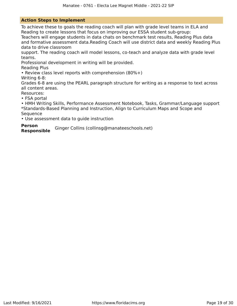### **Action Steps to Implement**

To achieve these to goals the reading coach will plan with grade level teams in ELA and Reading to create lessons that focus on improving our ESSA student sub-group:

Teachers will engage students in data chats on benchmark test results, Reading Plus data and formative assessment data.Reading Coach will use district data and weekly Reading Plus data to drive classroom

support. The reading coach will model lessons, co-teach and analyze data with grade level teams.

Professional development in writing will be provided.

Reading Plus

• Review class level reports with comprehension (80%+)

Writing 6-8:

Grades 6-8 are using the PEARL paragraph structure for writing as a response to text across all content areas.

Resources:

• FSA portal

• HMH Writing Skills, Performance Assessment Notebook, Tasks, Grammar/Language support \*Standards-Based Planning and Instruction, Align to Curriculum Maps and Scope and **Sequence** 

• Use assessment data to guide instruction

### **Person**

**Responsible** Ginger Collins (collinsg@manateeschools.net)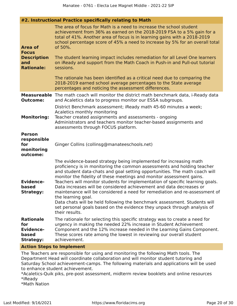### **#2. Instructional Practice specifically relating to Math**

| <b>Area of</b><br><b>Focus</b><br><b>Description</b><br>and<br><b>Rationale:</b> | The area of focus for Math is a need to increase the school student<br>achievement from 36% as earned on the 2018-2019 FSA to a 5% gain for a<br>total of 41%. Another area of focus is in learning gains with a 2018-2019<br>school percentage score of 45% a need to increase by 5% for an overall total<br>of 50%.<br>The student learning impact includes remediation for all Level One learners<br>on iReady and support from the Math Coach in Push-in and Pull-out tutorial<br>sessions.<br>The rationale has been identified as a critical need due to comparing the<br>2018-2019 earned school average percentages to the State average<br>percentages and noticing the assessment differences.                                  |
|----------------------------------------------------------------------------------|-------------------------------------------------------------------------------------------------------------------------------------------------------------------------------------------------------------------------------------------------------------------------------------------------------------------------------------------------------------------------------------------------------------------------------------------------------------------------------------------------------------------------------------------------------------------------------------------------------------------------------------------------------------------------------------------------------------------------------------------|
| <b>Outcome:</b>                                                                  | <b>Measureable</b> The math coach will monitor the district math benchmark data, i-Ready data<br>and Acaletics data to progress monitor our ESSA subgroups.                                                                                                                                                                                                                                                                                                                                                                                                                                                                                                                                                                               |
| <b>Monitoring:</b>                                                               | District Benchmark assessment; iReady math 45-60 minutes a week;<br>Acaletics monthly monitoring<br>Teacher created assignments and assessments - ongoing<br>Administrators and teachers monitor teacher-based assignments and<br>assessments through FOCUS platform.                                                                                                                                                                                                                                                                                                                                                                                                                                                                     |
| <b>Person</b><br>responsible<br>for<br>monitoring<br>outcome:                    | Ginger Collins (collinsg@manateeschools.net)                                                                                                                                                                                                                                                                                                                                                                                                                                                                                                                                                                                                                                                                                              |
| <b>Evidence-</b><br>based<br><b>Strategy:</b>                                    | The evidence-based strategy being implemented for increasing math<br>proficiency is in monitoring the common assessments and holding teacher<br>and student data-chats and goal setting opportunities. The math coach will<br>monitor the fidelity of these meetings and monitor assessment gains.<br>Teachers will monitor students for implementation of specific learning goals.<br>Data increases will be considered achievement and data decreases or<br>maintenance will be considered a need for remediation and re-assessment of<br>the learning goal.<br>Data chats will be held following the benchmark assessment. Students will<br>set personal goals based on the evidence they unpack through analysis of<br>their results. |
| <b>Rationale</b><br>for<br><b>Evidence-</b><br>based<br><b>Strategy:</b>         | The rationale for selecting this specific strategy was to create a need for<br>urgency in making the needed 22% increase in Student Achievement<br>Component and the 12% increase needed in the Learning Gains Component.<br>These scores rate among the lowest in reviewing our overall student<br>achievement.                                                                                                                                                                                                                                                                                                                                                                                                                          |

### **Action Steps to Implement**

The Teachers are responsible for using and monitoring the following Math tools. The Department Head will coordinate collaboration and will monitor student tutoring and Saturday School achievement-camps. The following materials and applications will be used to enhance student achievement.

\*Acaletics-Quik piks, pre-post assessment, midterm review booklets and online resources \*iReady

\*Math Nation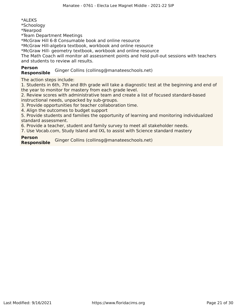\*ALEKS \*Schoology \*Nearpod \*Team Department Meetings \*McGraw Hill 6-8 Consumable book and online resource

\*McGraw Hill-algebra textbook, workbook and online resource

\*McGraw Hill- geometry textbook, workbook and online resource

The Math Coach will monitor all assessment points and hold pull-out sessions with teachers and students to review all results.

# **Person**

**Responsible** Ginger Collins (collinsg@manateeschools.net)

The action steps include:

1. Students in 6th, 7th and 8th grade will take a diagnostic test at the beginning and end of the year to monitor for mastery from each grade level.

2. Review scores with administrative team and create a list of focused standard-based instructional needs, unpacked by sub-groups.

3. Provide opportunities for teacher collaboration time.

4. Align the outcomes to budget support

5. Provide students and families the opportunity of learning and monitoring individualized standard assessment.

6. Provide a teacher, student and family survey to meet all stakeholder needs.

7. Use Vocab.com, Study Island and IXL to assist with Science standard mastery

### **Person**

**Responsible** Ginger Collins (collinsg@manateeschools.net)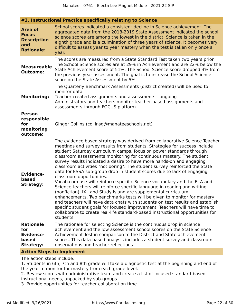### **#3. Instructional Practice specifically relating to Science**

| <b>Area of</b><br><b>Focus</b><br><b>Description</b><br>and<br><b>Rationale:</b> | School scores indicated a consistent decline in Science achievement. The<br>aggregated data from the 2018-2019 State Assessment indicated the school<br>science scores are among the lowest in the district. Science is taken in the<br>eighth grade and is a culmination of three years of science. It becomes very<br>difficult to assess year to year mastery when the test is taken only once a<br>year.                                                                                                                                                                                                                                                                                                                                                                                                                                                                                                                                                                                                                                                                                                                          |
|----------------------------------------------------------------------------------|---------------------------------------------------------------------------------------------------------------------------------------------------------------------------------------------------------------------------------------------------------------------------------------------------------------------------------------------------------------------------------------------------------------------------------------------------------------------------------------------------------------------------------------------------------------------------------------------------------------------------------------------------------------------------------------------------------------------------------------------------------------------------------------------------------------------------------------------------------------------------------------------------------------------------------------------------------------------------------------------------------------------------------------------------------------------------------------------------------------------------------------|
| <b>Measureable</b><br><b>Outcome:</b>                                            | The scores are measured from a State Standard Test taken two years prior.<br>The School Science scores are at 29% in Achievement and are 22% below the<br>State Achievement score of 51%. The School Science score dropped 3% from<br>the previous year assessment. The goal is to increase the School Science<br>score on the State Assessment by 5%.                                                                                                                                                                                                                                                                                                                                                                                                                                                                                                                                                                                                                                                                                                                                                                                |
| <b>Monitoring:</b>                                                               | The Quarterly Benchmark Assessments (district created) will be used to<br>monitor data.<br>Teacher created assignments and assessments - ongoing<br>Administrators and teachers monitor teacher-based assignments and<br>assessments through FOCUS platform.                                                                                                                                                                                                                                                                                                                                                                                                                                                                                                                                                                                                                                                                                                                                                                                                                                                                          |
| <b>Person</b><br>responsible<br>for<br>monitoring<br>outcome:                    | Ginger Collins (collinsg@manateeschools.net)                                                                                                                                                                                                                                                                                                                                                                                                                                                                                                                                                                                                                                                                                                                                                                                                                                                                                                                                                                                                                                                                                          |
| <b>Evidence-</b><br>based<br><b>Strategy:</b>                                    | The evidence based strategy was derived from collaborative Science Teacher<br>meetings and survey results from students. Strategies for success include<br>student Saturday curriculum camps, focus on power standards through<br>classroom assessments monitoring for continuous mastery. The student<br>survey results indicated a desire to have more hands-on and engaging<br>classroom activities "not boring". The student survey reinforced the State<br>data for ESSA sub-group drop in student scores due to lack of engaging<br>classroom opportunities.<br>Vocab.com use will reinforce specific Science vocabulary and the ELA and<br>Science teachers will reinforce specific language in reading and writing<br>(nonfiction). IXL and Study Island are supplemental curriculum<br>enhancements. Two benchmarks tests will be given to monitor for mastery<br>and teachers will have data chats with students on test results and establish<br>specific student goals for focused improvement. Teachers will have time to<br>collaborate to create real-life standard-based instructional opportunities for<br>students. |
| <b>Rationale</b><br>for<br><b>Evidence-</b><br>based<br><b>Strategy:</b>         | The rationale for selecting Science is the continuous drop in science<br>achievement and the low assessment school scores on the State Science<br>Achievement Test in comparison to the District and State achievement<br>scores. This data-based analysis includes a student survey and classroom<br>observations and teacher reflections.                                                                                                                                                                                                                                                                                                                                                                                                                                                                                                                                                                                                                                                                                                                                                                                           |

### **Action Steps to Implement**

The action steps include:

1. Students in 6th, 7th and 8th grade will take a diagnostic test at the beginning and end of the year to monitor for mastery from each grade level.

2. Review scores with administrative team and create a list of focused standard-based instructional needs, unpacked by sub-groups.

3. Provide opportunities for teacher collaboration time.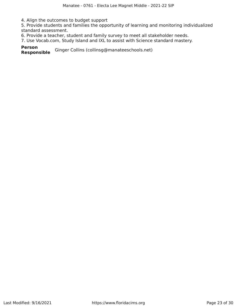4. Align the outcomes to budget support

5. Provide students and families the opportunity of learning and monitoring individualized standard assessment.

6. Provide a teacher, student and family survey to meet all stakeholder needs.

7. Use Vocab.com, Study Island and IXL to assist with Science standard mastery.

**Person** Ginger Collins (collinsg@manateeschools.net)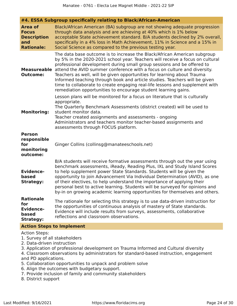|  |  | #4. ESSA Subgroup specifically relating to Black/African-American |  |
|--|--|-------------------------------------------------------------------|--|
|  |  |                                                                   |  |

| Area of<br><b>Focus</b><br><b>Description</b><br>and<br><b>Rationale:</b> | Black/African American (BA) subgroup are not showing adequate progression<br>through data analysis and are achieving at 40% which is 1% below<br>acceptable State achievement standard. B/A students declined by 2% overall,<br>specifically in a 4% loss in Math Achievement, 11% in Science and a 15% in<br>Social Science as compared to the previous testing year.                                                                                                                                                                                                                                                     |
|---------------------------------------------------------------------------|----------------------------------------------------------------------------------------------------------------------------------------------------------------------------------------------------------------------------------------------------------------------------------------------------------------------------------------------------------------------------------------------------------------------------------------------------------------------------------------------------------------------------------------------------------------------------------------------------------------------------|
| <b>Measureable</b><br><b>Outcome:</b>                                     | The data base outcome is to increase the Black/African American subgroup<br>by 5% in the 2020-2021 school year. Teachers will receive a focus on cultural<br>professional development during small group sessions and be offered to<br>attend the AVID summer conference with a focus on culture and diversity.<br>Teachers as well, will be given opportunities for learning about Trauma<br>Informed teaching through book and article studies. Teachers will be given<br>time to collaborate to create engaging real-life lessons and supplement with<br>remediation opportunities to encourage student learning gains. |
| <b>Monitoring:</b>                                                        | Lesson plans will be monitored for a focus on literature that is culturally<br>appropriate.<br>The Quarterly Benchmark Assessments (district created) will be used to<br>student monitor data.<br>Teacher created assignments and assessments - ongoing<br>Administrators and teachers monitor teacher-based assignments and<br>assessments through FOCUS platform.                                                                                                                                                                                                                                                        |
| <b>Person</b><br>responsible<br>for<br>monitoring<br>outcome:             | Ginger Collins (collinsg@manateeschools.net)                                                                                                                                                                                                                                                                                                                                                                                                                                                                                                                                                                               |
| <b>Evidence-</b><br>based<br><b>Strategy:</b>                             | B/A students will receive formative assessments through out the year using<br>benchmark assessments, iReady, Reading Plus, IXL and Study Island Scores<br>to help supplement power State Standards. Students will be given the<br>opportunity to join Advancement Via Individual Determination (AVID), as one<br>of their electives, to help understand the importance of applying their<br>personal best to active learning. Students will be surveyed for opinions and<br>by-in on growing academic learning opportunities for themselves and others.                                                                    |
| <b>Rationale</b><br>for<br><b>Evidence-</b><br>based<br><b>Strategy:</b>  | The rationale for selecting this strategy is to use data-driven instruction for<br>the opportunities of continuous analysis of mastery of State standards.<br>Evidence will include results from surveys, assessments, collaborative<br>reflections and classroom observations.                                                                                                                                                                                                                                                                                                                                            |

### **Action Steps to Implement**

#### Action Steps:

1. Survey of all stakeholders

- 2. Data-driven instruction
- 3. Application of professional development on Trauma Informed and Cultural diversity

4. Classroom observations by administrators for standard-based instruction, engagement and PD applications.

- 5. Collaboration opportunities to unpack and problem solve
- 6. Align the outcomes with budgetary support.
- 7. Provide inclusion of family and community stakeholders
- 8. District support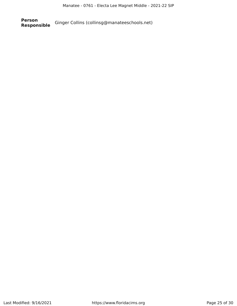**Person** Ginger Collins (collinsg@manateeschools.net)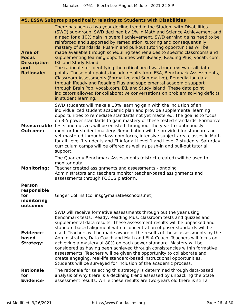### **#5. ESSA Subgroup specifically relating to Students with Disabilities**

| <b>Area of</b><br><b>Focus</b><br><b>Description</b><br>and<br><b>Rationale:</b> | There has been a two year decline trend in the Student with Disabilities<br>(SWD) sub-group. SWD declined by 1% in Math and Science Achievement and<br>a need for a 10% gain in overall achievement. SWD earning gains need to be<br>reinforced and supported by remediation, tutoring and consequentially<br>mastery of standards. Push-in and pull-out tutoring opportunities will be<br>made available through scheduling teacher aides to specific classrooms and<br>supplementing learning opportunities with iReady, Reading Plus, vocab. com,<br>IXL and Study Island.<br>The rationale for identifying the critical need was from review of all data<br>points. These data points include results from FSA, Benchmark Assessments,<br>Classroom Assessments (Formative and Summative), Remediation data<br>through iReady and Reading Plus and supplemental academic support<br>through Brain Pop, vocab.com. IXL and Study Island. These data point<br>indicators allowed for collaborative conversations on problem solving deficits<br>in student learning. |
|----------------------------------------------------------------------------------|------------------------------------------------------------------------------------------------------------------------------------------------------------------------------------------------------------------------------------------------------------------------------------------------------------------------------------------------------------------------------------------------------------------------------------------------------------------------------------------------------------------------------------------------------------------------------------------------------------------------------------------------------------------------------------------------------------------------------------------------------------------------------------------------------------------------------------------------------------------------------------------------------------------------------------------------------------------------------------------------------------------------------------------------------------------------|
| <b>Measureable</b><br><b>Outcome:</b>                                            | SWD students will make a 10% learning gain with the inclusion of an<br>individualized student academic plan and provide supplemental learning<br>opportunities to remediate standards not yet mastered. The goal is to focus<br>on 3-5 power standards to gain mastery of these tested standards. Formative<br>tests and quizzes will be enlisted throughout the year to continuously<br>monitor for student mastery. Remediation will be provided for standards not<br>yet mastered through classroom focus, intensive subject area classes in Math<br>for all Level 1 students and ELA for all Level 1 and Level 2 students. Saturday<br>curriculum camps will be offered as well as push-in and pull-out tutorial<br>support.                                                                                                                                                                                                                                                                                                                                       |
| <b>Monitoring:</b>                                                               | The Quarterly Benchmark Assessments (district created) will be used to<br>monitor data.<br>Teacher created assignments and assessments - ongoing<br>Administrators and teachers monitor teacher-based assignments and<br>assessments through FOCUS platform.                                                                                                                                                                                                                                                                                                                                                                                                                                                                                                                                                                                                                                                                                                                                                                                                           |
| <b>Person</b><br>responsible<br>for<br>monitoring<br>outcome:                    | Ginger Collins (collinsg@manateeschools.net)                                                                                                                                                                                                                                                                                                                                                                                                                                                                                                                                                                                                                                                                                                                                                                                                                                                                                                                                                                                                                           |
| <b>Evidence-</b><br>based<br><b>Strategy:</b><br><b>Rationale</b>                | SWD will receive formative assessments through out the year using<br>benchmark tests, iReady, Reading Plus, classroom tests and quizzes and<br>supplemental data results. These assessment results will be unpacked and<br>standard based alignment with a concentration of poser standards will be<br>used. Teachers will be made aware of the results of these assessments by the<br>Administrators, Data Coach and Math and ELA Coach. Teachers will focus on<br>achieving a mastery at 80% on each power standard. Mastery will be<br>considered as having been achieved through consistencies within formative<br>assessments. Teachers will be given the opportunity to collaborate and<br>create engaging, real-life standard-based instructional opportunities.<br>Students will be surveyed for inclusion of the academic process.                                                                                                                                                                                                                            |
| for<br><b>Evidence-</b>                                                          | The rationale for selecting this strategy is determined through data-based<br>analysis of why there is a declining trend assessed by unpacking the State<br>assessment results. While these results are two-years old there is still a                                                                                                                                                                                                                                                                                                                                                                                                                                                                                                                                                                                                                                                                                                                                                                                                                                 |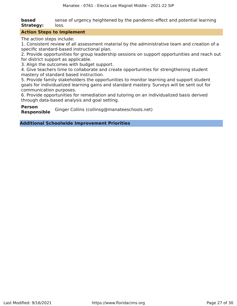**based Strategy:** sense of urgency heightened by the pandemic-effect and potential learning loss.

### **Action Steps to Implement**

The action steps include:

1. Consistent review of all assessment material by the administrative team and creation of a specific standard-based instructional plan.

2. Provide opportunities for group leadership sessions on support opportunities and reach out for district support as applicable.

3. Align the outcomes with budget support.

4. Give teachers time to collaborate and create opportunities for strengthening student mastery of standard based instruction.

5. Provide family stakeholders the opportunities to monitor learning and support student goals for individualized learning gains and standard mastery. Surveys will be sent out for communication purposes.

6. Provide opportunities for remediation and tutoring on an individualized basis derived through data-based analysis and goal setting.

**Person**

**Responsible** Ginger Collins (collinsg@manateeschools.net)

**Additional Schoolwide Improvement Priorities**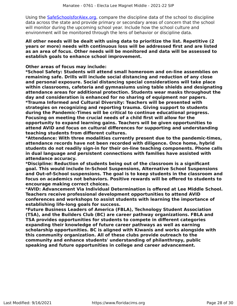Using the [SafeSchoolsforAlex.org,](https://www.safeschoolsforalex.org/fl-school-safety-dashboard/) compare the discipline data of the school to discipline data across the state and provide primary or secondary areas of concern that the school will monitor during the upcoming school year. Include how the school culture and environment will be monitored through the lens of behavior or discipline data.

**All other needs will be dealt with using data to prioritize the list. Repetitive (2 years or more) needs with continuous loss will be addressed first and are listed as an area of focus. Other needs will be monitored and data will be assessed to establish goals to enhance school improvement.**

### **Other areas of focus may include:**

**\*School Safety: Students will attend small homeroom and on-line assemblies on remaining safe. Drills will include social distancing and reduction of any close and personal exposure. Social distancing special considerations will take place within classrooms, cafeteria and gymnasiums using table shields and designating attendance areas for additional protection. Students wear masks throughout the day and consideration is enhanced for no sharing of equipment nor papers. \*Trauma Informed and Cultural Diversity: Teachers will be presented with strategies on recognizing and reporting trauma. Giving support to students during the Pandemic-Times will be critical to continue educational progress. Focusing on meeting the crucial needs of a child first will allow for the opportunity to expand learning gains. Teachers will be given opportunities to attend AVID and focus on cultural differences for supporting and understanding teaching students from different cultures.**

**\*Attendance: With three modalities currently present due to the pandemic-times, attendance records have not been recorded with diligence. Once home, hybrid students do not readily sign-in for their on-line teaching components. Phone calls in dual language and persistent connections with families have assisted with attendance accuracy.**

**\*Discipline: Reduction of students being out of the classroom is a significant goal. This would include In-School Suspensions, Alternative School Suspensions and Out-of-School suspensions. The goal is to keep students in the classroom and focus on academics not behaviors. Positive rewards will be offered to students to encourage making correct choices.**

**\*AVID: Advancement Via Individual Determination is offered at Lee Middle School. Teachers receive professional development opportunities to attend AVID conferences and workshops to assist students with learning the importance of establishing life-long goals for success.**

**\*Future Business Leaders of America (FBLA), Technology Student Association (TSA), and the Builders Club (BC) are career pathway organizations. FBLA and TSA provides opportunities for students to compete in different categories expanding their knowledge of future career pathways as well as earning scholarship opportunities. BC is aligned with Kiwanis and works alongside with this community organization. All of these clubs provide outreach to the community and enhance students' understanding of philanthropy, public speaking and future opportunities in college and career advancement.**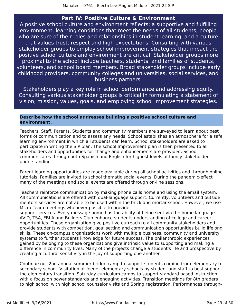### **Part IV: Positive Culture & Environment**

<span id="page-28-0"></span>A positive school culture and environment reflects: a supportive and fulfilling environment, learning conditions that meet the needs of all students, people who are sure of their roles and relationships in student learning, and a culture that values trust, respect and high expectations. Consulting with various stakeholder groups to employ school improvement strategies that impact the positive school culture and environment are critical. Stakeholder groups more proximal to the school include teachers, students, and families of students, volunteers, and school board members. Broad stakeholder groups include early childhood providers, community colleges and universities, social services, and business partners.

Stakeholders play a key role in school performance and addressing equity. Consulting various stakeholder groups is critical in formulating a statement of vision, mission, values, goals, and employing school improvement strategies.

### **Describe how the school addresses building a positive school culture and environment.**

Teachers, Staff, Parents, Students and community members are surveyed to learn about best forms of communication and to assess any needs. School establishes an atmosphere for a safe learning environment in which all students can learn. School stakeholders are asked to participate in writing the SIP plan. The school Improvement plan is then presented to all stakeholders and opportunities for change and enhancements are provided. School communicates through both Spanish and English for highest levels of family stakeholder understanding.

Parent learning opportunities are made available during all school activities and through online tutorials. Families are invited to school thematic social events. During the pandemic-effect many of the meetings and social events are offered through on-line sessions.

Teachers reinforce communication by making phone calls home and using the email system. All communications are offered with dual-language support. Currently, volunteers and outside mentors services are not able to be used within the brick and mortar school. However, we use Micro-Team meetings whenever possible to provide

support services. Every message home has the ability of being sent via the home language. AVID, TSA, FBLA and Builders Club enhance students understanding of college and career opportunities. These organization give positive outreach to all community stakeholders and provide students with competition, goal setting and communication opportunities build lifelong skills. These on-campus organizations work with multiple business, community and university systems to further students knowledge for future success. The philanthropic experiences gained by belonging to these organizations give intrinsic value to supporting and making a difference in community lives. Many of the projects change a student's life and prospective by creating a cultural sensitivity in the joy of supporting one another.

Continue our 2nd annual summer bridge camp to support students coming from elementary to secondary school. Visitation at feeder elementary schools by student and staff to best support the elementary transition. Saturday curriculum camps to support standard based instruction with a focus on power standards and engaging activities. Transition meetings for 8th graders to high school with high school counselor visits and Spring registration. Performances through